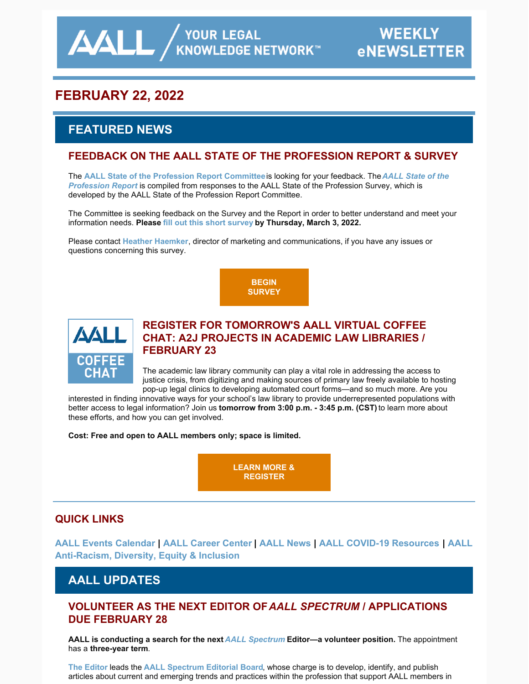**AALL** AND YOUR LEGAL

# **FEBRUARY 22, 2022**

# **FEATURED NEWS**

## **FEEDBACK ON THE AALL STATE OF THE PROFESSION REPORT & SURVEY**

The **AALL State of the [Profession](https://www.aallnet.org/resources-publications/publications/state-of-the-profession-survey/) Report Committee**is looking for your feedback. The*AALL State of the Profession Report* is compiled from responses to the AALL State of the Profession Survey, which is developed by the AALL State of the Profession Report Committee.

The Committee is seeking feedback on the Survey and the Report in order to better understand and meet your information needs. **Please fill out this short [survey](https://www.surveymonkey.com/r/HKRGBFS) by Thursday, March 3, 2022.**

Please contact **Heather [Haemker](mailto:hhaemker@aall.org)**, director of marketing and communications, if you have any issues or questions concerning this survey.

> **BEGIN [SURVEY](https://www.surveymonkey.com/r/HKRGBFS)**



## **REGISTER FOR TOMORROW'S AALL VIRTUAL COFFEE CHAT: A2J PROJECTS IN ACADEMIC LAW LIBRARIES / FEBRUARY 23**

The academic law library community can play a vital role in addressing the access to justice crisis, from digitizing and making sources of primary law freely available to hosting pop-up legal clinics to developing automated court forms—and so much more. Are you

interested in finding innovative ways for your school's law library to provide underrepresented populations with better access to legal information? Join us **tomorrow from 3:00 p.m. - 3:45 p.m. (CST)**to learn more about these efforts, and how you can get involved.

**Cost: Free and open to AALL members only; space is limited.**

**LEARN MORE & [REGISTER](https://elearning.aallnet.org/products/virtual-coffee-chat-a2j-projects-in-academic-law-libraries#tab-product_tab_overview)**

## **QUICK LINKS**

**AALL Events [Calendar](https://www.aallnet.org/forms/MeetingCalendar/) | AALL [Career](https://careers.aallnet.org/) Center | [AALL](https://www.aallnet.org/about-us/press-room/news/) News | AALL COVID-19 [Resources](https://www.aallnet.org/about-us/press-room/coronavirus/) | AALL [Anti-Racism,](https://www.aallnet.org/about-us/press-room/anti-racism-diversity-equity-inclusion/) Diversity, Equity & Inclusion**

## **AALL UPDATES**

## **VOLUNTEER AS THE NEXT EDITOR OF***AALL SPECTRUM* **/ APPLICATIONS DUE FEBRUARY 28**

**AALL is conducting a search for the next** *AALL [Spectrum](https://www.aallnet.org/resources-publications/publications/aall-spectrum/)* **Editor—a volunteer position.** The appointment has a **three-year term**.

**The [Editor](https://www.aallnet.org/resources-publications/publications/aall-spectrum/aall-spectrum-editor/)** leads the **AALL [Spectrum](https://www.aallnet.org/about-us/who-we-are/committees-juries/aall-spectrum-editorial-board/) Editorial Board**, whose charge is to develop, identify, and publish articles about current and emerging trends and practices within the profession that support AALL members in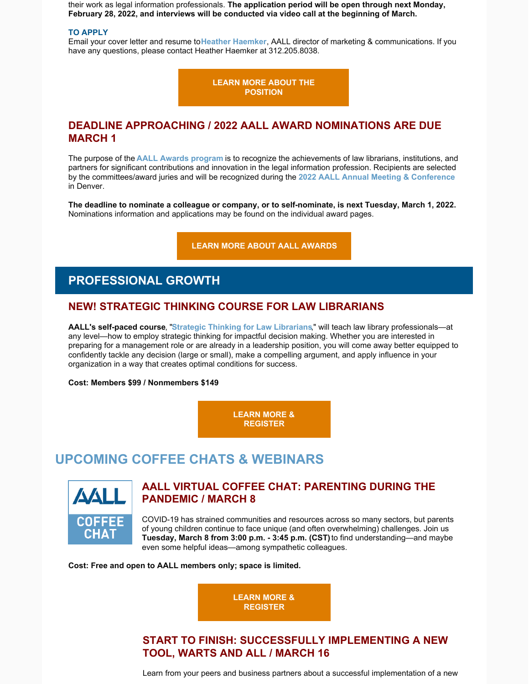their work as legal information professionals. **The application period will be open through next Monday, February 28, 2022, and interviews will be conducted via video call at the beginning of March.**

#### **TO APPLY**

Email your cover letter and resume to**Heather [Haemker](mailto:hhaemker@aall.org)**, AALL director of marketing & communications. If you have any questions, please contact Heather Haemker at 312.205.8038.

> **LEARN MORE ABOUT THE [POSITION](https://www.aallnet.org/resources-publications/publications/aall-spectrum/aall-spectrum-editor/)**

## **DEADLINE APPROACHING / 2022 AALL AWARD NOMINATIONS ARE DUE MARCH 1**

The purpose of the **AALL Awards [program](https://www.aallnet.org/community/recognition/awards-program/)** is to recognize the achievements of law librarians, institutions, and partners for significant contributions and innovation in the legal information profession. Recipients are selected by the committees/award juries and will be recognized during the **2022 AALL Annual Meeting & [Conference](https://www.aallnet.org/conference/)** in Denver.

**The deadline to nominate a colleague or company, or to self-nominate, is next Tuesday, March 1, 2022.** Nominations information and applications may be found on the individual award pages.

**LEARN MORE ABOUT AALL [AWARDS](https://www.aallnet.org/community/recognition/awards-program/)**

## **PROFESSIONAL GROWTH**

### **NEW! STRATEGIC THINKING COURSE FOR LAW LIBRARIANS**

**AALL's self-paced course**, "**Strategic Thinking for Law [Librarians](https://elearning.aallnet.org/products/strategic-thinking-for-law-librarians)**," will teach law library professionals—at any level—how to employ strategic thinking for impactful decision making. Whether you are interested in preparing for a management role or are already in a leadership position, you will come away better equipped to confidently tackle any decision (large or small), make a compelling argument, and apply influence in your organization in a way that creates optimal conditions for success.

**Cost: Members \$99 / Nonmembers \$149**

**LEARN MORE & [REGISTER](https://elearning.aallnet.org/products/strategic-thinking-for-law-librarians)**

## **UPCOMING COFFEE CHATS & WEBINARS**



## **AALL VIRTUAL COFFEE CHAT: PARENTING DURING THE PANDEMIC / MARCH 8**

COVID-19 has strained communities and resources across so many sectors, but parents of young children continue to face unique (and often overwhelming) challenges. Join us **Tuesday, March 8 from 3:00 p.m. - 3:45 p.m. (CST)**to find understanding—and maybe even some helpful ideas—among sympathetic colleagues.

**Cost: Free and open to AALL members only; space is limited.**



## **START TO FINISH: SUCCESSFULLY IMPLEMENTING A NEW TOOL, WARTS AND ALL / MARCH 16**

Learn from your peers and business partners about a successful implementation of a new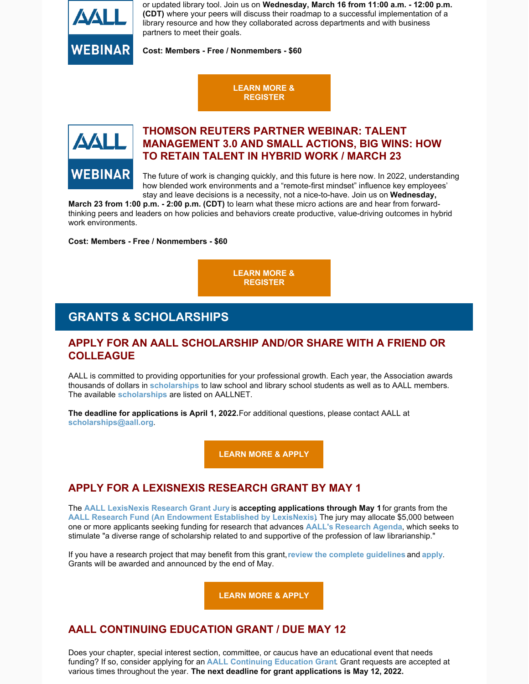

or updated library tool. Join us on **Wednesday, March 16 from 11:00 a.m. - 12:00 p.m. (CDT)** where your peers will discuss their roadmap to a successful implementation of a library resource and how they collaborated across departments and with business partners to meet their goals.

**Cost: Members - Free / Nonmembers - \$60**

### **LEARN MORE & [REGISTER](https://elearning.aallnet.org/products/start-to-finish-successfully-implementing-a-new-tool-warts-and-all)**



## **THOMSON REUTERS PARTNER WEBINAR: TALENT MANAGEMENT 3.0 AND SMALL ACTIONS, BIG WINS: HOW TO RETAIN TALENT IN HYBRID WORK / MARCH 23**

The future of work is changing quickly, and this future is here now. In 2022, understanding how blended work environments and a "remote-first mindset" influence key employees' stay and leave decisions is a necessity, not a nice-to-have. Join us on **Wednesday,**

**March 23 from 1:00 p.m. - 2:00 p.m. (CDT)** to learn what these micro actions are and hear from forwardthinking peers and leaders on how policies and behaviors create productive, value-driving outcomes in hybrid work environments.

**Cost: Members - Free / Nonmembers - \$60**

**LEARN MORE & [REGISTER](https://elearning.aallnet.org/products/talent-management-30-and-small-actions-big-wins-how-to-retain-talent-in-hybrid-work-thomson-reuters-partner-webinar)**

## **GRANTS & SCHOLARSHIPS**

## **APPLY FOR AN AALL SCHOLARSHIP AND/OR SHARE WITH A FRIEND OR COLLEAGUE**

AALL is committed to providing opportunities for your professional growth. Each year, the Association awards thousands of dollars in **[scholarships](https://www.aallnet.org/education-training/scholarships/)** to law school and library school students as well as to AALL members. The available **[scholarships](https://www.aallnet.org/education-training/scholarships/)** are listed on AALLNET.

**The deadline for applications is April 1, 2022.**For additional questions, please contact AALL at **[scholarships@aall.org](mailto:scholarships@aall.org)**.

**[LEARN](https://www.aallnet.org/education-training/scholarships/) MORE & APPLY**

## **APPLY FOR A LEXISNEXIS RESEARCH GRANT BY MAY 1**

The **AALL [LexisNexis](https://www.aallnet.org/about-us/who-we-are/committees-juries/lexisnexis-research-grant-jury/) Research Grant Jury** is **accepting applications through May 1** for grants from the **AALL Research Fund (An [Endowment](https://www.aallnet.org/education-training/grants/research-grants/) Established by LexisNexis)**. The jury may allocate \$5,000 between one or more applicants seeking funding for research that advances **[AALL's](https://www.aallnet.org/education-training/grants/research-grants/research-agenda/) [Research](https://www.aallnet.org/education-training/grants/research-grants/research-agenda/) Agenda**, which seeks to stimulate "a diverse range of scholarship related to and supportive of the profession of law librarianship."

If you have a research project that may benefit from this grant,**review the complete [guidelines](https://www.aallnet.org/education-training/grants/research-grants/)** and **[apply](https://www.aallnet.org/wp-content/uploads/2021/10/aall-grant-researchfund.pdf)**. Grants will be awarded and announced by the end of May.

**[LEARN](https://www.aallnet.org/wp-content/uploads/2021/10/aall-grant-researchfund.pdf) MORE & APPLY**

## **AALL CONTINUING EDUCATION GRANT / DUE MAY 12**

Does your chapter, special interest section, committee, or caucus have an educational event that needs funding? If so, consider applying for an **AALL [Continuing](https://www.aallnet.org/education-training/grants/cpe-program-grants/) Education Grant**. Grant requests are accepted at various times throughout the year. **The next deadline for grant applications is May 12, 2022.**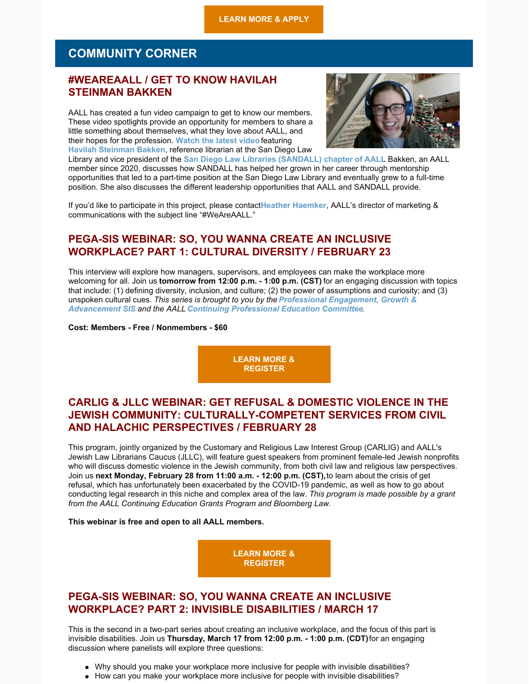## **COMMUNITY CORNER**

## **#WEAREAALL / GET TO KNOW HAVILAH STEINMAN BAKKEN**

AALL has created a fun video campaign to get to know our members. These video spotlights provide an opportunity for members to share a little something about themselves, what they love about AALL, and their hopes for the profession. **[Watch](https://www.aallnet.org/community/membership/meet-our-members/weareaall/) the latest video**featuring **Havilah [Steinman](https://www.aallnet.org/members_only/membership/IndividualFormPublicMembers/detail?id=2B865000000B3) Bakken**, reference librarian at the San Diego Law



Library and vice president of the **San Diego Law Libraries [\(SANDALL\)](http://www.sandallnet.org/) chapter of AALL**. Bakken, an AALL member since 2020, discusses how SANDALL has helped her grown in her career through mentorship opportunities that led to a part-time position at the San Diego Law Library and eventually grew to a full-time position. She also discusses the different leadership opportunities that AALL and SANDALL provide.

If you'd like to participate in this project, please contact**Heather [Haemker](mailto:hhaemker@aall.org)**, AALL's director of marketing & communications with the subject line "#WeAreAALL."

## **PEGA-SIS WEBINAR: SO, YOU WANNA CREATE AN INCLUSIVE WORKPLACE? PART 1: CULTURAL DIVERSITY / FEBRUARY 23**

This interview will explore how managers, supervisors, and employees can make the workplace more welcoming for all. Join us **tomorrow from 12:00 p.m. - 1:00 p.m. (CST)** for an engaging discussion with topics that include: (1) defining diversity, inclusion, and culture; (2) the power of assumptions and curiosity; and (3) unspoken cultural cues. *This series is brought to you by the Professional Engagement, Growth & [Advancement](https://www.aallnet.org/pegasis/) SIS and the AALL Continuing [Professional](https://www.aallnet.org/about-us/who-we-are/committees-juries/continuing-professional-education-committee/) Education Committee.*

**Cost: Members - Free / Nonmembers - \$60**

**LEARN MORE & [REGISTER](https://elearning.aallnet.org/products/live-interview-series-so-you-wanna-create-an-inclusive-workplace-part-1-cultural-diversity#tab-product_tab_overview)**

## **CARLIG & JLLC WEBINAR: GET REFUSAL & DOMESTIC VIOLENCE IN THE JEWISH COMMUNITY: CULTURALLY-COMPETENT SERVICES FROM CIVIL AND HALACHIC PERSPECTIVES / FEBRUARY 28**

This program, jointly organized by the Customary and Religious Law Interest Group (CARLIG) and AALL's Jewish Law Librarians Caucus (JLLC), will feature guest speakers from prominent female-led Jewish nonprofits who will discuss domestic violence in the Jewish community, from both civil law and religious law perspectives. Join us **next Monday, February 28 from 11:00 a.m. - 12:00 p.m. (CST),**to learn about the crisis of get refusal, which has unfortunately been exacerbated by the COVID-19 pandemic, as well as how to go about conducting legal research in this niche and complex area of the law. *This program is made possible by a grant from the AALL Continuing Education Grants Program and Bloomberg Law.*

#### **This webinar is free and open to all AALL members.**

**LEARN MORE & [REGISTER](https://www.aallnet.org/forms/meeting/MeetingFormPublic/view?id=7F4E600000054)**

### **PEGA-SIS WEBINAR: SO, YOU WANNA CREATE AN INCLUSIVE WORKPLACE? PART 2: INVISIBLE DISABILITIES / MARCH 17**

This is the second in a two-part series about creating an inclusive workplace, and the focus of this part is invisible disabilities. Join us **Thursday, March 17 from 12:00 p.m. - 1:00 p.m. (CDT)**for an engaging discussion where panelists will explore three questions:

- Why should you make your workplace more inclusive for people with invisible disabilities?
- How can you make your workplace more inclusive for people with invisible disabilities?